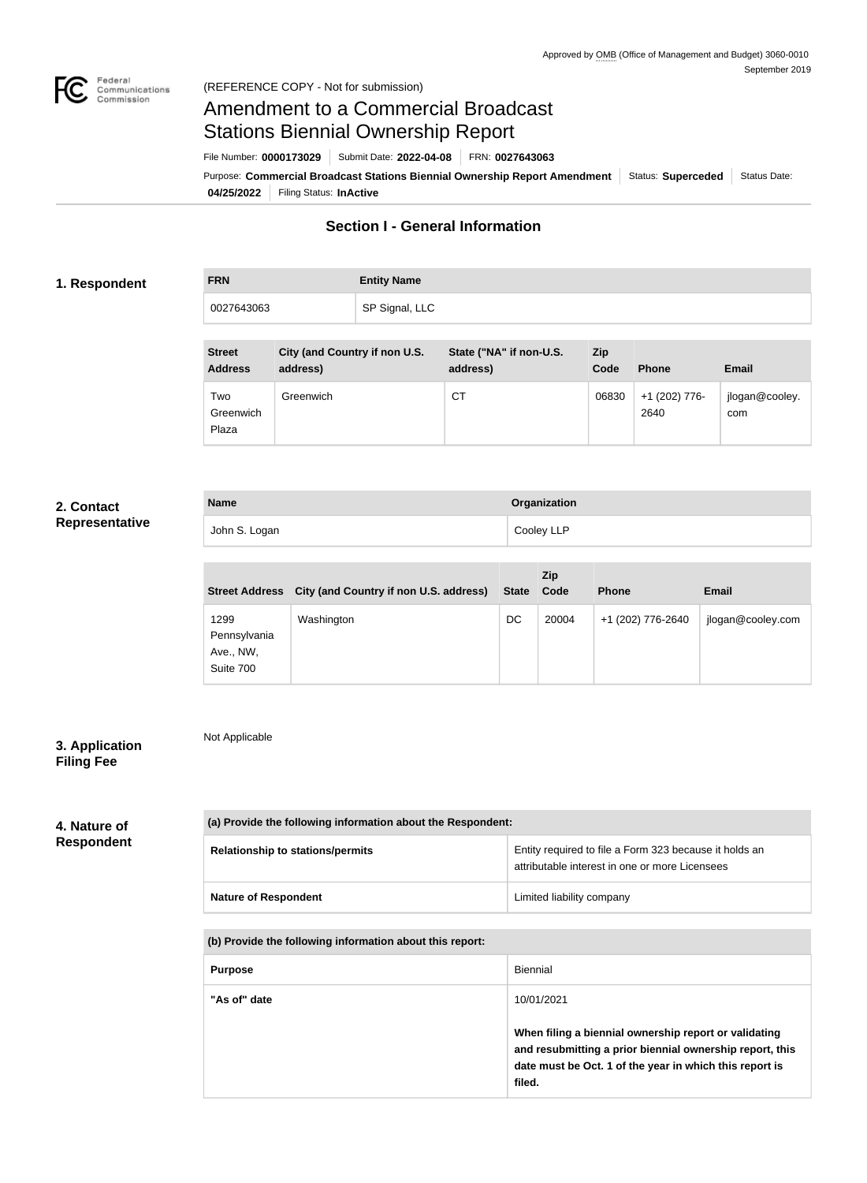

# Amendment to a Commercial Broadcast Stations Biennial Ownership Report

Purpose: Commercial Broadcast Stations Biennial Ownership Report Amendment | Status: Superceded | Status Date: File Number: **0000173029** Submit Date: **2022-04-08** FRN: **0027643063**

**04/25/2022** Filing Status: **InActive**

## **Section I - General Information**

## **1. Respondent**

**FRN Entity Name** 0027643063 SP Signal, LLC

| <b>Street</b><br><b>Address</b> | City (and Country if non U.S.<br>address) | State ("NA" if non-U.S.<br>address) | Zip<br>Code | <b>Phone</b>          | <b>Email</b>          |
|---------------------------------|-------------------------------------------|-------------------------------------|-------------|-----------------------|-----------------------|
| Two<br>Greenwich<br>Plaza       | Greenwich                                 | СT                                  | 06830       | +1 (202) 776-<br>2640 | jlogan@cooley.<br>com |

## **2. Contact Representative**

| <b>Name</b>   | Organization |
|---------------|--------------|
| John S. Logan | Cooley LLP   |

|                                                | Street Address City (and Country if non U.S. address) | State Code | Zip   | <b>Phone</b>      | <b>Email</b>      |
|------------------------------------------------|-------------------------------------------------------|------------|-------|-------------------|-------------------|
| 1299<br>Pennsylvania<br>Ave., NW,<br>Suite 700 | Washington                                            | DC         | 20004 | +1 (202) 776-2640 | jlogan@cooley.com |

## **3. Application Filing Fee**

Not Applicable

## **4. Nature of Respondent**

| (a) Provide the following information about the Respondent: |                                                                                                          |  |  |
|-------------------------------------------------------------|----------------------------------------------------------------------------------------------------------|--|--|
| <b>Relationship to stations/permits</b>                     | Entity required to file a Form 323 because it holds an<br>attributable interest in one or more Licensees |  |  |
| <b>Nature of Respondent</b>                                 | Limited liability company                                                                                |  |  |

#### **(b) Provide the following information about this report:**

| <b>Purpose</b> | <b>Biennial</b>                                                                                                                                                                        |
|----------------|----------------------------------------------------------------------------------------------------------------------------------------------------------------------------------------|
| "As of" date   | 10/01/2021                                                                                                                                                                             |
|                | When filing a biennial ownership report or validating<br>and resubmitting a prior biennial ownership report, this<br>date must be Oct. 1 of the year in which this report is<br>filed. |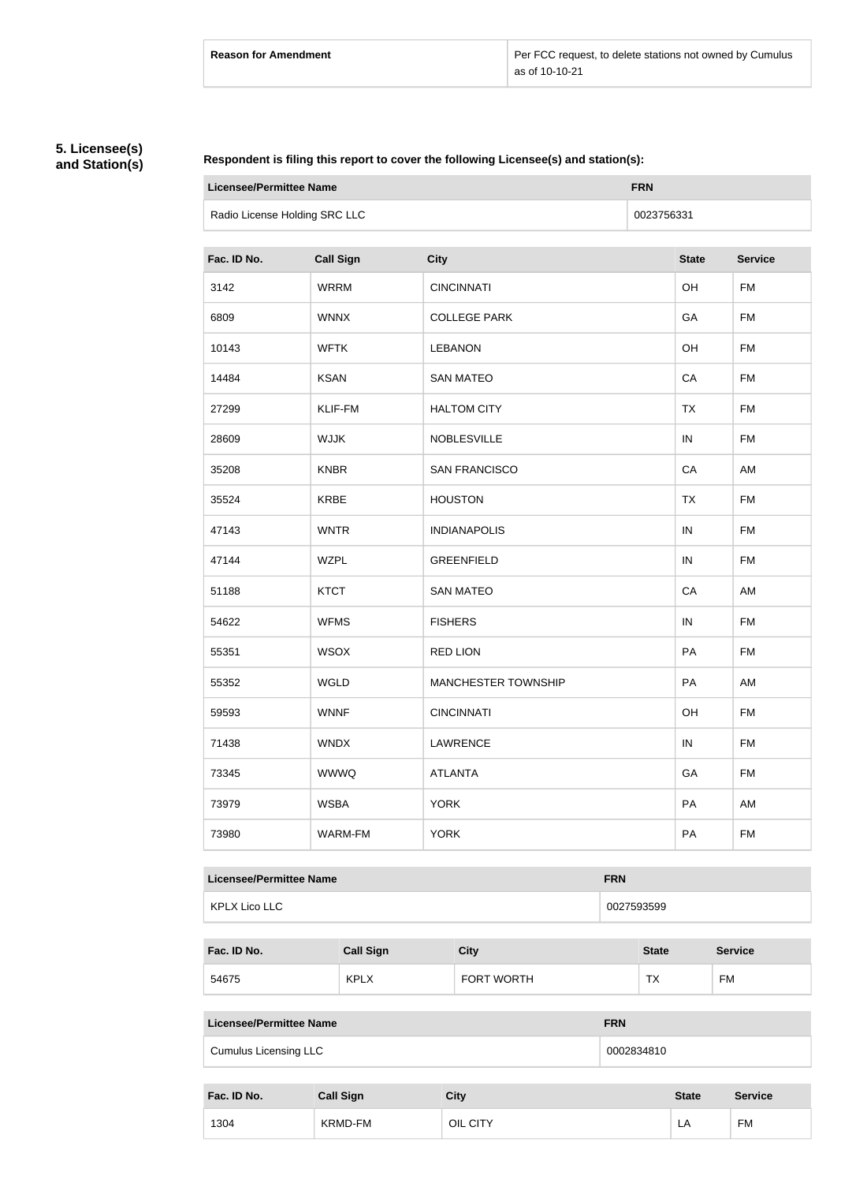## **5. Licensee(s) and Station(s)**

#### **Respondent is filing this report to cover the following Licensee(s) and station(s):**

| Licensee/Permittee Name       | <b>FRN</b> |
|-------------------------------|------------|
| Radio License Holding SRC LLC | 0023756331 |

| Fac. ID No. | <b>Call Sign</b> | <b>City</b>                | <b>State</b> | <b>Service</b> |
|-------------|------------------|----------------------------|--------------|----------------|
| 3142        | <b>WRRM</b>      | <b>CINCINNATI</b>          | OH           | <b>FM</b>      |
| 6809        | <b>WNNX</b>      | <b>COLLEGE PARK</b>        | GA           | <b>FM</b>      |
| 10143       | <b>WFTK</b>      | <b>LEBANON</b>             | OH           | <b>FM</b>      |
| 14484       | <b>KSAN</b>      | <b>SAN MATEO</b>           | CA           | <b>FM</b>      |
| 27299       | KLIF-FM          | <b>HALTOM CITY</b>         | <b>TX</b>    | <b>FM</b>      |
| 28609       | <b>WJJK</b>      | <b>NOBLESVILLE</b>         | IN           | <b>FM</b>      |
| 35208       | <b>KNBR</b>      | <b>SAN FRANCISCO</b>       | CA           | AM             |
| 35524       | <b>KRBE</b>      | <b>HOUSTON</b>             | <b>TX</b>    | <b>FM</b>      |
| 47143       | <b>WNTR</b>      | <b>INDIANAPOLIS</b>        | IN           | <b>FM</b>      |
| 47144       | <b>WZPL</b>      | <b>GREENFIELD</b>          | IN           | <b>FM</b>      |
| 51188       | <b>KTCT</b>      | <b>SAN MATEO</b>           | CA           | AM             |
| 54622       | <b>WFMS</b>      | <b>FISHERS</b>             | IN           | <b>FM</b>      |
| 55351       | <b>WSOX</b>      | <b>RED LION</b>            | PA           | <b>FM</b>      |
| 55352       | <b>WGLD</b>      | <b>MANCHESTER TOWNSHIP</b> | PA           | AM             |
| 59593       | <b>WNNF</b>      | <b>CINCINNATI</b>          | OH           | <b>FM</b>      |
| 71438       | <b>WNDX</b>      | LAWRENCE                   | ${\sf IN}$   | <b>FM</b>      |
| 73345       | <b>WWWQ</b>      | <b>ATLANTA</b>             | GA           | <b>FM</b>      |
| 73979       | <b>WSBA</b>      | <b>YORK</b>                | PA           | AM             |
| 73980       | WARM-FM          | <b>YORK</b>                | PA           | <b>FM</b>      |

## **Licensee/Permittee Name FRN**

| Licensee/Permittee Name | FRN        |
|-------------------------|------------|
| KPLX Lico LLC           | 0027593599 |

| Fac. ID No. | <b>Call Sign</b> | <b>City</b>       | <b>State</b>    | Service |
|-------------|------------------|-------------------|-----------------|---------|
| 54675       | <b>KPLX</b>      | <b>FORT WORTH</b> | <b>TV</b><br>≀∧ | FM      |

| Licensee/Permittee Name      | <b>FRN</b> |
|------------------------------|------------|
| <b>Cumulus Licensing LLC</b> | 0002834810 |

| Fac. ID No. | <b>Call Sign</b> | City     | <b>State</b> | <b>Service</b> |
|-------------|------------------|----------|--------------|----------------|
| 1304        | KRMD-FM          | OIL CITY | LA           | <b>FM</b>      |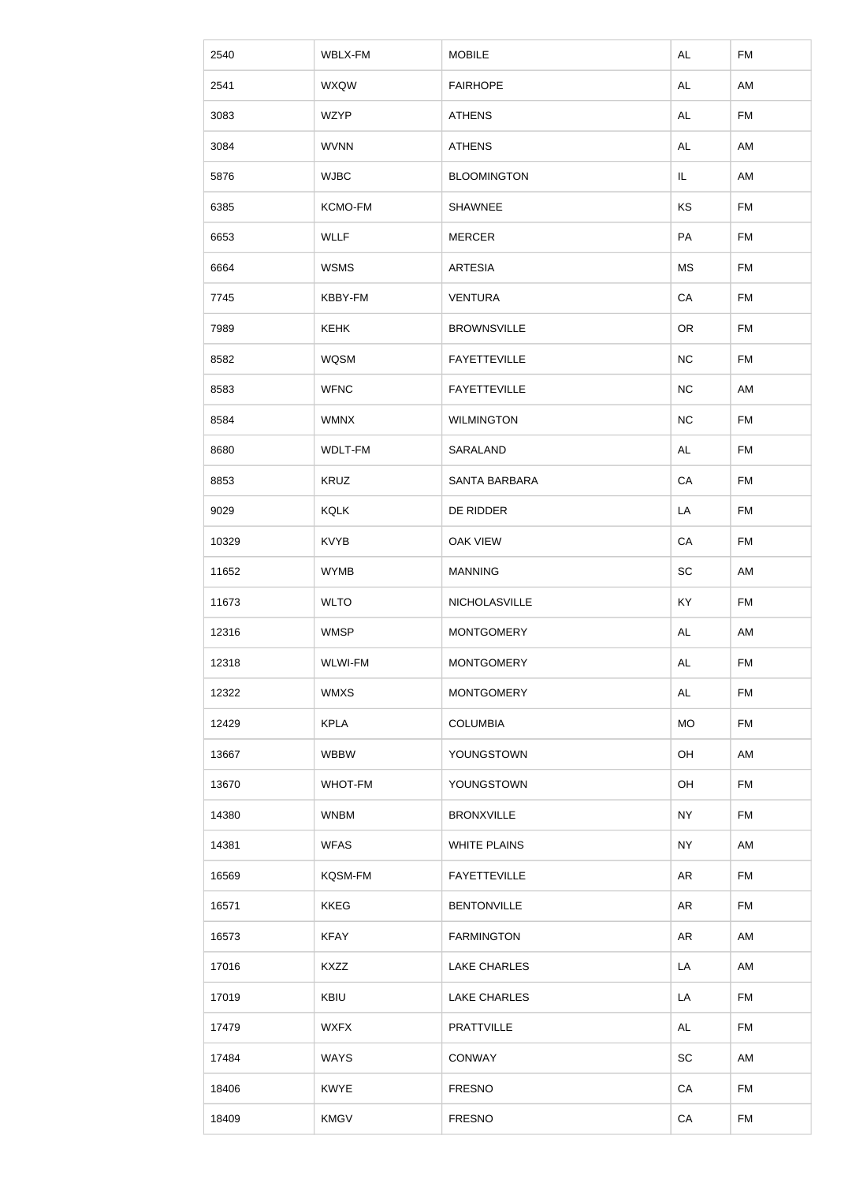| 2540  | WBLX-FM        | <b>MOBILE</b>        | AL                           | <b>FM</b> |
|-------|----------------|----------------------|------------------------------|-----------|
| 2541  | <b>WXQW</b>    | <b>FAIRHOPE</b>      | AL                           | AM        |
| 3083  | <b>WZYP</b>    | <b>ATHENS</b>        | <b>AL</b>                    | FM        |
| 3084  | <b>WVNN</b>    | <b>ATHENS</b>        | <b>AL</b>                    | AM        |
| 5876  | <b>WJBC</b>    | <b>BLOOMINGTON</b>   | IL                           | AM        |
| 6385  | KCMO-FM        | SHAWNEE              | KS                           | FM        |
| 6653  | <b>WLLF</b>    | <b>MERCER</b>        | PA                           | <b>FM</b> |
| 6664  | <b>WSMS</b>    | <b>ARTESIA</b>       | <b>MS</b>                    | FM        |
| 7745  | KBBY-FM        | <b>VENTURA</b>       | CA                           | FM        |
| 7989  | <b>KEHK</b>    | <b>BROWNSVILLE</b>   | <b>OR</b>                    | <b>FM</b> |
| 8582  | <b>WQSM</b>    | <b>FAYETTEVILLE</b>  | NC                           | <b>FM</b> |
| 8583  | <b>WFNC</b>    | <b>FAYETTEVILLE</b>  | <b>NC</b>                    | AM        |
| 8584  | <b>WMNX</b>    | <b>WILMINGTON</b>    | NC                           | FM        |
| 8680  | WDLT-FM        | SARALAND             | <b>AL</b>                    | <b>FM</b> |
| 8853  | <b>KRUZ</b>    | <b>SANTA BARBARA</b> | CA                           | <b>FM</b> |
| 9029  | <b>KQLK</b>    | DE RIDDER            | LA                           | <b>FM</b> |
| 10329 | <b>KVYB</b>    | <b>OAK VIEW</b>      | CA                           | <b>FM</b> |
| 11652 | <b>WYMB</b>    | <b>MANNING</b>       | SC                           | AM        |
| 11673 | <b>WLTO</b>    | NICHOLASVILLE        | KY                           | <b>FM</b> |
| 12316 | <b>WMSP</b>    | <b>MONTGOMERY</b>    | AL                           | AM        |
| 12318 | <b>WLWI-FM</b> | <b>MONTGOMERY</b>    | <b>AL</b>                    | <b>FM</b> |
| 12322 | <b>WMXS</b>    | <b>MONTGOMERY</b>    | <b>AL</b>                    | <b>FM</b> |
| 12429 | <b>KPLA</b>    | <b>COLUMBIA</b>      | <b>MO</b>                    | <b>FM</b> |
| 13667 | <b>WBBW</b>    | YOUNGSTOWN           | OH                           | AM        |
| 13670 | <b>WHOT-FM</b> | YOUNGSTOWN           | OH                           | <b>FM</b> |
| 14380 | <b>WNBM</b>    | <b>BRONXVILLE</b>    | <b>NY</b>                    | <b>FM</b> |
| 14381 | <b>WFAS</b>    | <b>WHITE PLAINS</b>  | <b>NY</b>                    | AM        |
| 16569 | KQSM-FM        | <b>FAYETTEVILLE</b>  | <b>AR</b>                    | <b>FM</b> |
| 16571 | <b>KKEG</b>    | <b>BENTONVILLE</b>   | <b>AR</b>                    | <b>FM</b> |
| 16573 | <b>KFAY</b>    | <b>FARMINGTON</b>    | <b>AR</b>                    | AM        |
| 17016 | <b>KXZZ</b>    | <b>LAKE CHARLES</b>  | LA                           | AM        |
| 17019 | KBIU           | <b>LAKE CHARLES</b>  | LA                           | <b>FM</b> |
| 17479 | <b>WXFX</b>    | <b>PRATTVILLE</b>    | AL                           | <b>FM</b> |
| 17484 | <b>WAYS</b>    | <b>CONWAY</b>        | $\operatorname{\textsf{SC}}$ | AM        |
| 18406 | <b>KWYE</b>    | <b>FRESNO</b>        | ${\sf CA}$                   | <b>FM</b> |
| 18409 | <b>KMGV</b>    | <b>FRESNO</b>        | ${\sf CA}$                   | <b>FM</b> |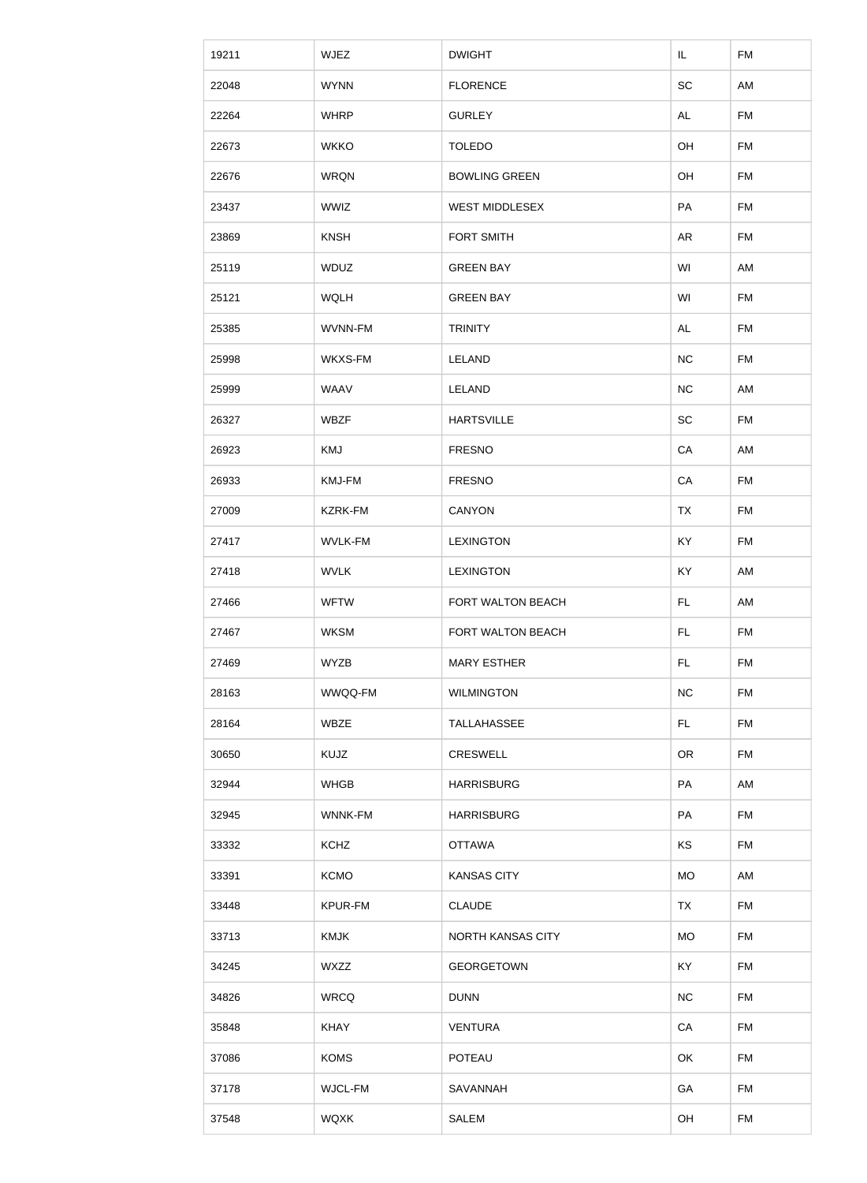| 19211 | <b>WJEZ</b> | <b>DWIGHT</b>        | IL         | <b>FM</b> |
|-------|-------------|----------------------|------------|-----------|
| 22048 | <b>WYNN</b> | <b>FLORENCE</b>      | SC         | AM        |
| 22264 | <b>WHRP</b> | <b>GURLEY</b>        | <b>AL</b>  | <b>FM</b> |
| 22673 | <b>WKKO</b> | <b>TOLEDO</b>        | OH         | <b>FM</b> |
| 22676 | <b>WRQN</b> | <b>BOWLING GREEN</b> | OH         | <b>FM</b> |
| 23437 | WWIZ        | WEST MIDDLESEX       | PA         | <b>FM</b> |
| 23869 | <b>KNSH</b> | <b>FORT SMITH</b>    | <b>AR</b>  | <b>FM</b> |
| 25119 | <b>WDUZ</b> | <b>GREEN BAY</b>     | WI         | AM        |
| 25121 | <b>WQLH</b> | <b>GREEN BAY</b>     | WI         | <b>FM</b> |
| 25385 | WVNN-FM     | <b>TRINITY</b>       | <b>AL</b>  | <b>FM</b> |
| 25998 | WKXS-FM     | LELAND               | NC         | <b>FM</b> |
| 25999 | <b>WAAV</b> | LELAND               | <b>NC</b>  | AM        |
| 26327 | <b>WBZF</b> | <b>HARTSVILLE</b>    | SC         | <b>FM</b> |
| 26923 | KMJ         | <b>FRESNO</b>        | CA         | AM        |
| 26933 | KMJ-FM      | <b>FRESNO</b>        | CA         | <b>FM</b> |
| 27009 | KZRK-FM     | <b>CANYON</b>        | TX         | <b>FM</b> |
| 27417 | WVLK-FM     | <b>LEXINGTON</b>     | KY         | <b>FM</b> |
| 27418 | <b>WVLK</b> | <b>LEXINGTON</b>     | <b>KY</b>  | AM        |
| 27466 | <b>WFTW</b> | FORT WALTON BEACH    | FL.        | AM        |
| 27467 | <b>WKSM</b> | FORT WALTON BEACH    | FL.        | <b>FM</b> |
| 27469 | <b>WYZB</b> | <b>MARY ESTHER</b>   | FL.        | <b>FM</b> |
| 28163 | WWQQ-FM     | <b>WILMINGTON</b>    | <b>NC</b>  | <b>FM</b> |
| 28164 | <b>WBZE</b> | TALLAHASSEE          | FL.        | <b>FM</b> |
| 30650 | KUJZ        | <b>CRESWELL</b>      | <b>OR</b>  | <b>FM</b> |
| 32944 | <b>WHGB</b> | <b>HARRISBURG</b>    | PA         | AM        |
| 32945 | WNNK-FM     | <b>HARRISBURG</b>    | PA         | <b>FM</b> |
| 33332 | <b>KCHZ</b> | <b>OTTAWA</b>        | <b>KS</b>  | <b>FM</b> |
| 33391 | <b>KCMO</b> | <b>KANSAS CITY</b>   | <b>MO</b>  | AM        |
| 33448 | KPUR-FM     | <b>CLAUDE</b>        | <b>TX</b>  | <b>FM</b> |
| 33713 | <b>KMJK</b> | NORTH KANSAS CITY    | <b>MO</b>  | <b>FM</b> |
| 34245 | <b>WXZZ</b> | <b>GEORGETOWN</b>    | KY         | <b>FM</b> |
| 34826 | <b>WRCQ</b> | <b>DUNN</b>          | NC         | <b>FM</b> |
| 35848 | <b>KHAY</b> | <b>VENTURA</b>       | ${\sf CA}$ | <b>FM</b> |
| 37086 | <b>KOMS</b> | POTEAU               | OK         | <b>FM</b> |
| 37178 | WJCL-FM     | SAVANNAH             | GA         | <b>FM</b> |
| 37548 | <b>WQXK</b> | <b>SALEM</b>         | OH         | <b>FM</b> |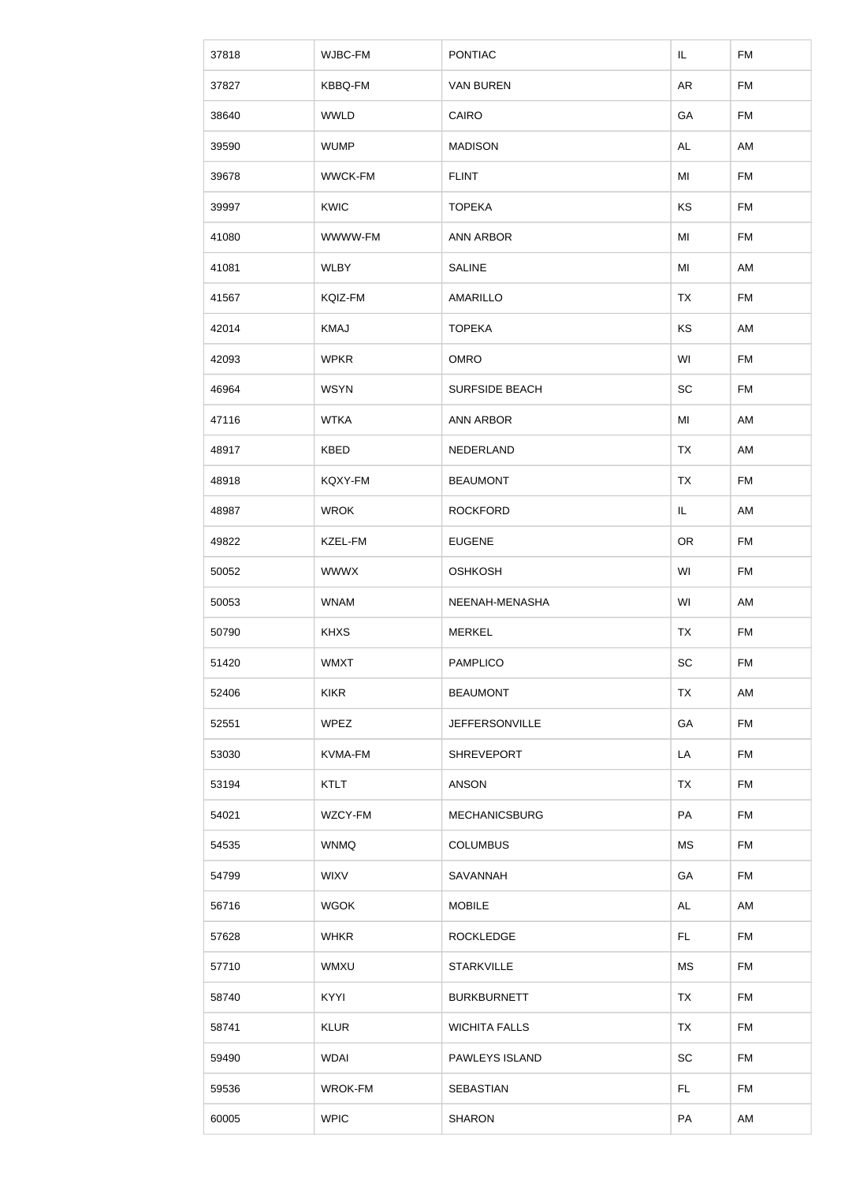| 37818 | WJBC-FM        | <b>PONTIAC</b>        | IL        | <b>FM</b> |
|-------|----------------|-----------------------|-----------|-----------|
| 37827 | KBBQ-FM        | <b>VAN BUREN</b>      | <b>AR</b> | <b>FM</b> |
| 38640 | <b>WWLD</b>    | <b>CAIRO</b>          | GA        | <b>FM</b> |
| 39590 | <b>WUMP</b>    | <b>MADISON</b>        | <b>AL</b> | AM        |
| 39678 | <b>WWCK-FM</b> | <b>FLINT</b>          | MI        | <b>FM</b> |
| 39997 | <b>KWIC</b>    | <b>TOPEKA</b>         | KS        | <b>FM</b> |
| 41080 | WWWW-FM        | <b>ANN ARBOR</b>      | MI        | FM        |
| 41081 | <b>WLBY</b>    | <b>SALINE</b>         | MI        | AM        |
| 41567 | KQIZ-FM        | <b>AMARILLO</b>       | <b>TX</b> | <b>FM</b> |
| 42014 | <b>KMAJ</b>    | <b>TOPEKA</b>         | KS        | AM        |
| 42093 | <b>WPKR</b>    | <b>OMRO</b>           | WI        | <b>FM</b> |
| 46964 | <b>WSYN</b>    | <b>SURFSIDE BEACH</b> | SC        | <b>FM</b> |
| 47116 | <b>WTKA</b>    | <b>ANN ARBOR</b>      | MI        | AM        |
| 48917 | <b>KBED</b>    | NEDERLAND             | <b>TX</b> | AM        |
| 48918 | KQXY-FM        | <b>BEAUMONT</b>       | <b>TX</b> | <b>FM</b> |
| 48987 | <b>WROK</b>    | <b>ROCKFORD</b>       | IL        | AM        |
| 49822 | KZEL-FM        | <b>EUGENE</b>         | <b>OR</b> | <b>FM</b> |
| 50052 | <b>WWWX</b>    | <b>OSHKOSH</b>        | WI        | <b>FM</b> |
| 50053 | <b>WNAM</b>    | NEENAH-MENASHA        | WI        | AM        |
| 50790 | <b>KHXS</b>    | <b>MERKEL</b>         | <b>TX</b> | <b>FM</b> |
| 51420 | <b>WMXT</b>    | <b>PAMPLICO</b>       | SC        | <b>FM</b> |
| 52406 | <b>KIKR</b>    | <b>BEAUMONT</b>       | <b>TX</b> | AM        |
| 52551 | <b>WPEZ</b>    | <b>JEFFERSONVILLE</b> | GA        | <b>FM</b> |
| 53030 | <b>KVMA-FM</b> | <b>SHREVEPORT</b>     | LA        | <b>FM</b> |
| 53194 | <b>KTLT</b>    | <b>ANSON</b>          | <b>TX</b> | <b>FM</b> |
| 54021 | WZCY-FM        | <b>MECHANICSBURG</b>  | PA        | <b>FM</b> |
| 54535 | <b>WNMQ</b>    | <b>COLUMBUS</b>       | <b>MS</b> | <b>FM</b> |
| 54799 | <b>WIXV</b>    | SAVANNAH              | GA        | <b>FM</b> |
| 56716 | <b>WGOK</b>    | <b>MOBILE</b>         | <b>AL</b> | AM        |
| 57628 | <b>WHKR</b>    | <b>ROCKLEDGE</b>      | FL.       | <b>FM</b> |
| 57710 | WMXU           | <b>STARKVILLE</b>     | <b>MS</b> | <b>FM</b> |
| 58740 | <b>KYYI</b>    | <b>BURKBURNETT</b>    | <b>TX</b> | <b>FM</b> |
| 58741 | <b>KLUR</b>    | <b>WICHITA FALLS</b>  | <b>TX</b> | <b>FM</b> |
| 59490 | <b>WDAI</b>    | PAWLEYS ISLAND        | SC        | <b>FM</b> |
| 59536 | WROK-FM        | <b>SEBASTIAN</b>      | FL        | <b>FM</b> |
| 60005 | <b>WPIC</b>    | <b>SHARON</b>         | PA        | AM        |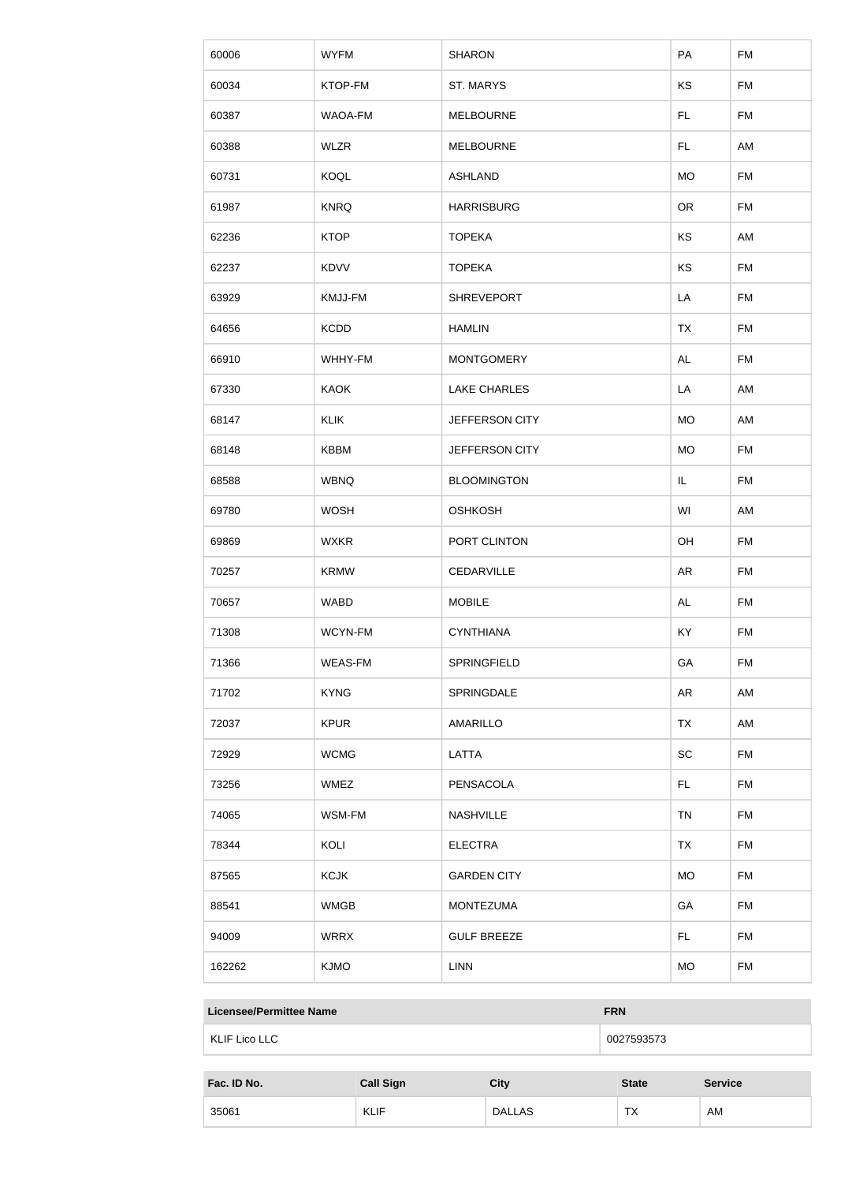| 60006  | <b>WYFM</b>    | <b>SHARON</b>       | PA        | <b>FM</b> |
|--------|----------------|---------------------|-----------|-----------|
| 60034  | KTOP-FM        | ST. MARYS           | KS        | <b>FM</b> |
| 60387  | WAOA-FM        | <b>MELBOURNE</b>    | FL.       | <b>FM</b> |
| 60388  | <b>WLZR</b>    | <b>MELBOURNE</b>    | FL.       | AM        |
| 60731  | <b>KOQL</b>    | <b>ASHLAND</b>      | <b>MO</b> | <b>FM</b> |
| 61987  | <b>KNRQ</b>    | <b>HARRISBURG</b>   | <b>OR</b> | <b>FM</b> |
| 62236  | <b>KTOP</b>    | <b>TOPEKA</b>       | <b>KS</b> | AM        |
| 62237  | <b>KDVV</b>    | <b>TOPEKA</b>       | KS        | <b>FM</b> |
| 63929  | <b>KMJJ-FM</b> | <b>SHREVEPORT</b>   | LA        | <b>FM</b> |
| 64656  | <b>KCDD</b>    | <b>HAMLIN</b>       | <b>TX</b> | <b>FM</b> |
| 66910  | WHHY-FM        | <b>MONTGOMERY</b>   | AL        | <b>FM</b> |
| 67330  | <b>KAOK</b>    | <b>LAKE CHARLES</b> | LA        | AM        |
| 68147  | <b>KLIK</b>    | JEFFERSON CITY      | <b>MO</b> | AM        |
| 68148  | <b>KBBM</b>    | JEFFERSON CITY      | <b>MO</b> | <b>FM</b> |
| 68588  | <b>WBNQ</b>    | <b>BLOOMINGTON</b>  | IL        | <b>FM</b> |
| 69780  | <b>WOSH</b>    | <b>OSHKOSH</b>      | WI        | AM        |
| 69869  | <b>WXKR</b>    | PORT CLINTON        | OH        | <b>FM</b> |
| 70257  | <b>KRMW</b>    | CEDARVILLE          | AR        | <b>FM</b> |
| 70657  | <b>WABD</b>    | <b>MOBILE</b>       | <b>AL</b> | <b>FM</b> |
| 71308  | WCYN-FM        | <b>CYNTHIANA</b>    | KY        | <b>FM</b> |
| 71366  | WEAS-FM        | SPRINGFIELD         | GA        | <b>FM</b> |
| 71702  | <b>KYNG</b>    | SPRINGDALE          | AR        | AM        |
| 72037  | <b>KPUR</b>    | <b>AMARILLO</b>     | <b>TX</b> | AM        |
| 72929  | <b>WCMG</b>    | LATTA               | <b>SC</b> | <b>FM</b> |
| 73256  | WMEZ           | PENSACOLA           | FL.       | <b>FM</b> |
| 74065  | WSM-FM         | <b>NASHVILLE</b>    | <b>TN</b> | <b>FM</b> |
| 78344  | KOLI           | <b>ELECTRA</b>      | TX        | <b>FM</b> |
| 87565  | <b>KCJK</b>    | <b>GARDEN CITY</b>  | MO        | <b>FM</b> |
| 88541  | <b>WMGB</b>    | <b>MONTEZUMA</b>    | GA        | <b>FM</b> |
| 94009  | <b>WRRX</b>    | <b>GULF BREEZE</b>  | FL.       | <b>FM</b> |
| 162262 | <b>KJMO</b>    | <b>LINN</b>         | <b>MO</b> | <b>FM</b> |

| <b>Licensee/Permittee Name</b> | <b>FRN</b> |
|--------------------------------|------------|
| KLIF Lico LLC                  | 0027593573 |

| Fac. ID No. | <b>Call Sign</b> | <b>City</b>   | <b>State</b> | <b>Service</b> |
|-------------|------------------|---------------|--------------|----------------|
| 35061       | <b>KLIF</b>      | <b>DALLAS</b> | TX           | AM             |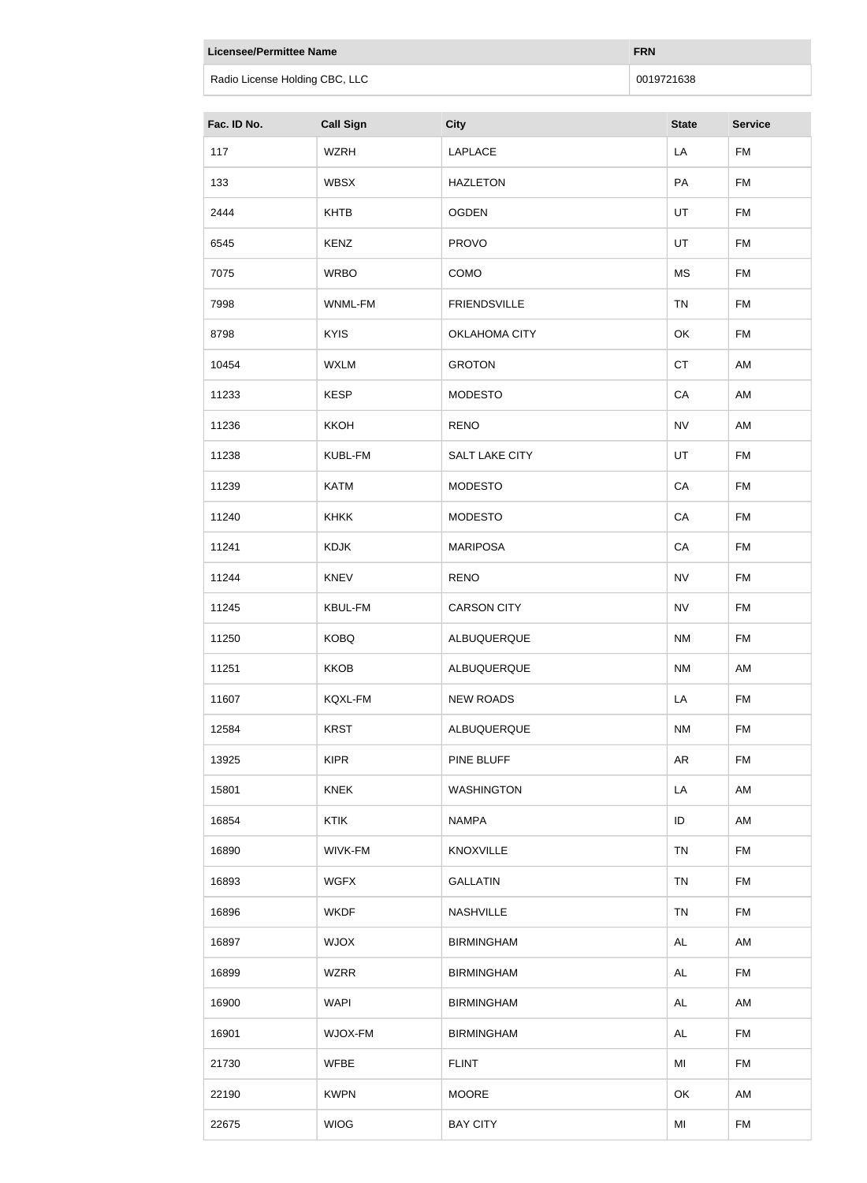| <b>Licensee/Permittee Name</b> |                  | <b>FRN</b>          |            |              |                |
|--------------------------------|------------------|---------------------|------------|--------------|----------------|
| Radio License Holding CBC, LLC |                  |                     | 0019721638 |              |                |
| Fac. ID No.                    | <b>Call Sign</b> | <b>City</b>         |            | <b>State</b> | <b>Service</b> |
| 117                            | <b>WZRH</b>      | LAPLACE             |            | LA           | <b>FM</b>      |
| 133                            | <b>WBSX</b>      | <b>HAZLETON</b>     |            | PA           | <b>FM</b>      |
| 2444                           | <b>KHTB</b>      | <b>OGDEN</b>        |            | UT           | <b>FM</b>      |
| 6545                           | <b>KENZ</b>      | <b>PROVO</b>        |            | UT           | <b>FM</b>      |
| 7075                           | <b>WRBO</b>      | COMO                |            | <b>MS</b>    | <b>FM</b>      |
| 7998                           | WNML-FM          | <b>FRIENDSVILLE</b> |            | <b>TN</b>    | <b>FM</b>      |
| 8798                           | <b>KYIS</b>      | OKLAHOMA CITY       |            | OK           | <b>FM</b>      |
| 10454                          | <b>WXLM</b>      | <b>GROTON</b>       |            | <b>CT</b>    | AM             |
| 11233                          | <b>KESP</b>      | <b>MODESTO</b>      |            | CA           | AM             |
| 11236                          | <b>KKOH</b>      | <b>RENO</b>         |            | <b>NV</b>    | AM             |
| 11238                          | KUBL-FM          | SALT LAKE CITY      |            | UT           | <b>FM</b>      |
| 11239                          | <b>KATM</b>      | <b>MODESTO</b>      |            | ${\sf CA}$   | FM             |
| 11240                          | <b>KHKK</b>      | <b>MODESTO</b>      |            | CA           | <b>FM</b>      |
| 11241                          | <b>KDJK</b>      | <b>MARIPOSA</b>     |            | CA           | <b>FM</b>      |
| 11244                          | <b>KNEV</b>      | <b>RENO</b>         |            | <b>NV</b>    | <b>FM</b>      |
| 11245                          | KBUL-FM          | <b>CARSON CITY</b>  |            | <b>NV</b>    | <b>FM</b>      |
| 11250                          | <b>KOBQ</b>      | ALBUQUERQUE         |            | <b>NM</b>    | FM             |
| 11251                          | <b>KKOB</b>      | ALBUQUERQUE         |            | <b>NM</b>    | AM             |
| 11607                          | KQXL-FM          | <b>NEW ROADS</b>    |            | LA           | <b>FM</b>      |
| 12584                          | <b>KRST</b>      | ALBUQUERQUE         |            | <b>NM</b>    | <b>FM</b>      |
| 13925                          | <b>KIPR</b>      | PINE BLUFF          |            | <b>AR</b>    | FM             |
| 15801                          | <b>KNEK</b>      | <b>WASHINGTON</b>   |            | LA           | AM             |
| 16854                          | <b>KTIK</b>      | <b>NAMPA</b>        |            | ID           | AM             |
| 16890                          | WIVK-FM          | <b>KNOXVILLE</b>    |            | <b>TN</b>    | <b>FM</b>      |
| 16893                          | <b>WGFX</b>      | <b>GALLATIN</b>     |            | <b>TN</b>    | <b>FM</b>      |
| 16896                          | <b>WKDF</b>      | <b>NASHVILLE</b>    |            | <b>TN</b>    | <b>FM</b>      |
| 16897                          | <b>WJOX</b>      | <b>BIRMINGHAM</b>   |            | <b>AL</b>    | AM             |
| 16899                          | <b>WZRR</b>      | <b>BIRMINGHAM</b>   |            | <b>AL</b>    | <b>FM</b>      |
| 16900                          | <b>WAPI</b>      | <b>BIRMINGHAM</b>   |            | <b>AL</b>    | AM             |
| 16901                          | WJOX-FM          | <b>BIRMINGHAM</b>   |            | AL           | <b>FM</b>      |
| 21730                          | <b>WFBE</b>      | <b>FLINT</b>        |            | MI           | <b>FM</b>      |
| 22190                          | <b>KWPN</b>      | <b>MOORE</b>        |            | OK           | AM             |
| 22675                          | <b>WIOG</b>      | <b>BAY CITY</b>     |            | MI           | <b>FM</b>      |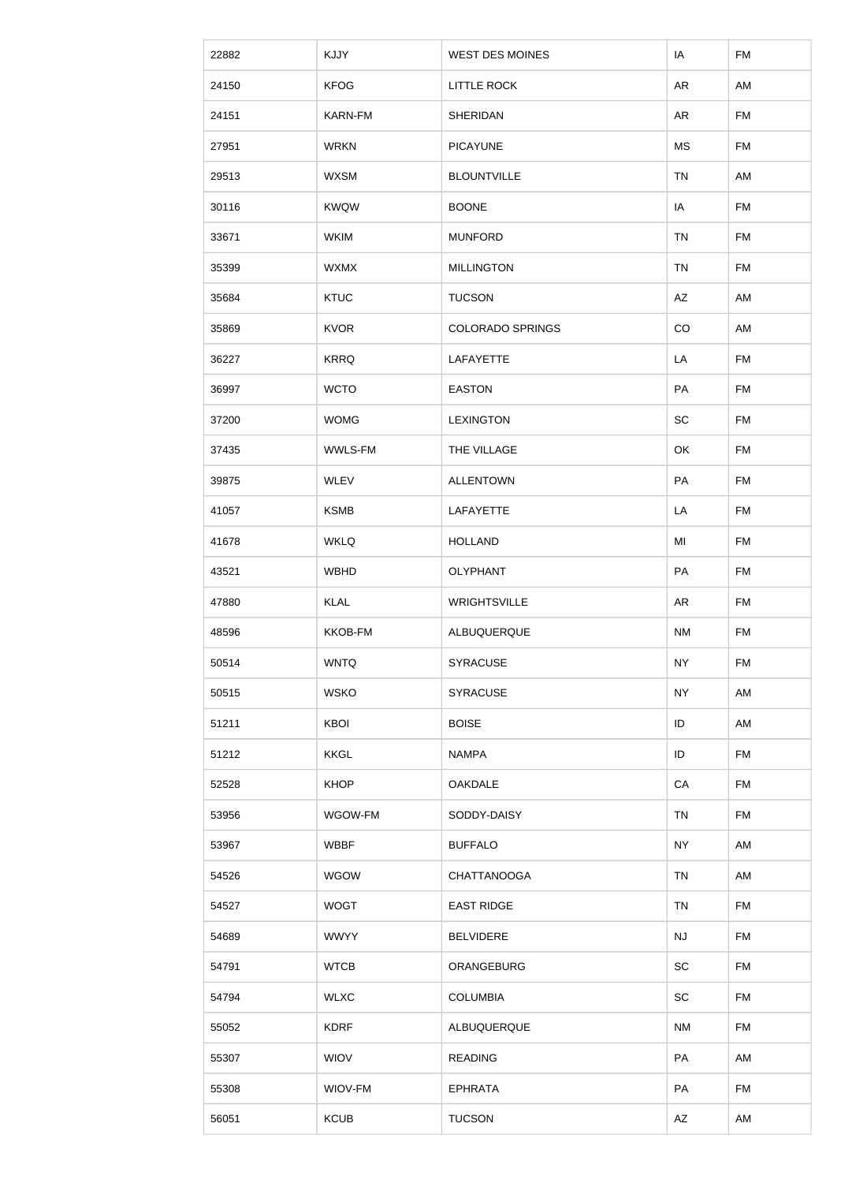| 22882 | <b>KJJY</b>    | <b>WEST DES MOINES</b>  | IA        | <b>FM</b> |
|-------|----------------|-------------------------|-----------|-----------|
| 24150 | <b>KFOG</b>    | <b>LITTLE ROCK</b>      | AR        | AM        |
| 24151 | KARN-FM        | <b>SHERIDAN</b>         | <b>AR</b> | <b>FM</b> |
| 27951 | <b>WRKN</b>    | <b>PICAYUNE</b>         | <b>MS</b> | <b>FM</b> |
| 29513 | <b>WXSM</b>    | <b>BLOUNTVILLE</b>      | <b>TN</b> | AM        |
| 30116 | <b>KWQW</b>    | <b>BOONE</b>            | IA        | <b>FM</b> |
| 33671 | <b>WKIM</b>    | <b>MUNFORD</b>          | <b>TN</b> | <b>FM</b> |
| 35399 | <b>WXMX</b>    | <b>MILLINGTON</b>       | <b>TN</b> | FM        |
| 35684 | <b>KTUC</b>    | <b>TUCSON</b>           | AZ        | AM        |
| 35869 | <b>KVOR</b>    | <b>COLORADO SPRINGS</b> | CO        | AM        |
| 36227 | <b>KRRQ</b>    | LAFAYETTE               | LA        | <b>FM</b> |
| 36997 | <b>WCTO</b>    | <b>EASTON</b>           | PA        | FM        |
| 37200 | <b>WOMG</b>    | <b>LEXINGTON</b>        | SC        | <b>FM</b> |
| 37435 | WWLS-FM        | THE VILLAGE             | OK        | <b>FM</b> |
| 39875 | WLEV           | <b>ALLENTOWN</b>        | PA        | FM        |
| 41057 | <b>KSMB</b>    | LAFAYETTE               | LA        | FM        |
| 41678 | <b>WKLQ</b>    | <b>HOLLAND</b>          | MI        | <b>FM</b> |
| 43521 | <b>WBHD</b>    | <b>OLYPHANT</b>         | PA        | <b>FM</b> |
| 47880 | <b>KLAL</b>    | <b>WRIGHTSVILLE</b>     | AR        | <b>FM</b> |
| 48596 | <b>KKOB-FM</b> | ALBUQUERQUE             | <b>NM</b> | <b>FM</b> |
| 50514 | <b>WNTQ</b>    | <b>SYRACUSE</b>         | <b>NY</b> | <b>FM</b> |
| 50515 | <b>WSKO</b>    | <b>SYRACUSE</b>         | <b>NY</b> | AM        |
| 51211 | <b>KBOI</b>    | <b>BOISE</b>            | ID        | AM        |
| 51212 | <b>KKGL</b>    | <b>NAMPA</b>            | ID        | <b>FM</b> |
| 52528 | <b>KHOP</b>    | <b>OAKDALE</b>          | CA        | <b>FM</b> |
| 53956 | WGOW-FM        | SODDY-DAISY             | <b>TN</b> | <b>FM</b> |
| 53967 | <b>WBBF</b>    | <b>BUFFALO</b>          | <b>NY</b> | AM        |
| 54526 | <b>WGOW</b>    | <b>CHATTANOOGA</b>      | <b>TN</b> | AM        |
| 54527 | <b>WOGT</b>    | <b>EAST RIDGE</b>       | <b>TN</b> | FM        |
| 54689 | <b>WWYY</b>    | <b>BELVIDERE</b>        | <b>NJ</b> | <b>FM</b> |
| 54791 | <b>WTCB</b>    | ORANGEBURG              | SC        | <b>FM</b> |
| 54794 | <b>WLXC</b>    | <b>COLUMBIA</b>         | SC        | <b>FM</b> |
| 55052 | <b>KDRF</b>    | ALBUQUERQUE             | <b>NM</b> | <b>FM</b> |
| 55307 | <b>WIOV</b>    | <b>READING</b>          | PA        | AM        |
| 55308 | WIOV-FM        | <b>EPHRATA</b>          | PA        | <b>FM</b> |
| 56051 | <b>KCUB</b>    | <b>TUCSON</b>           | AZ        | AM        |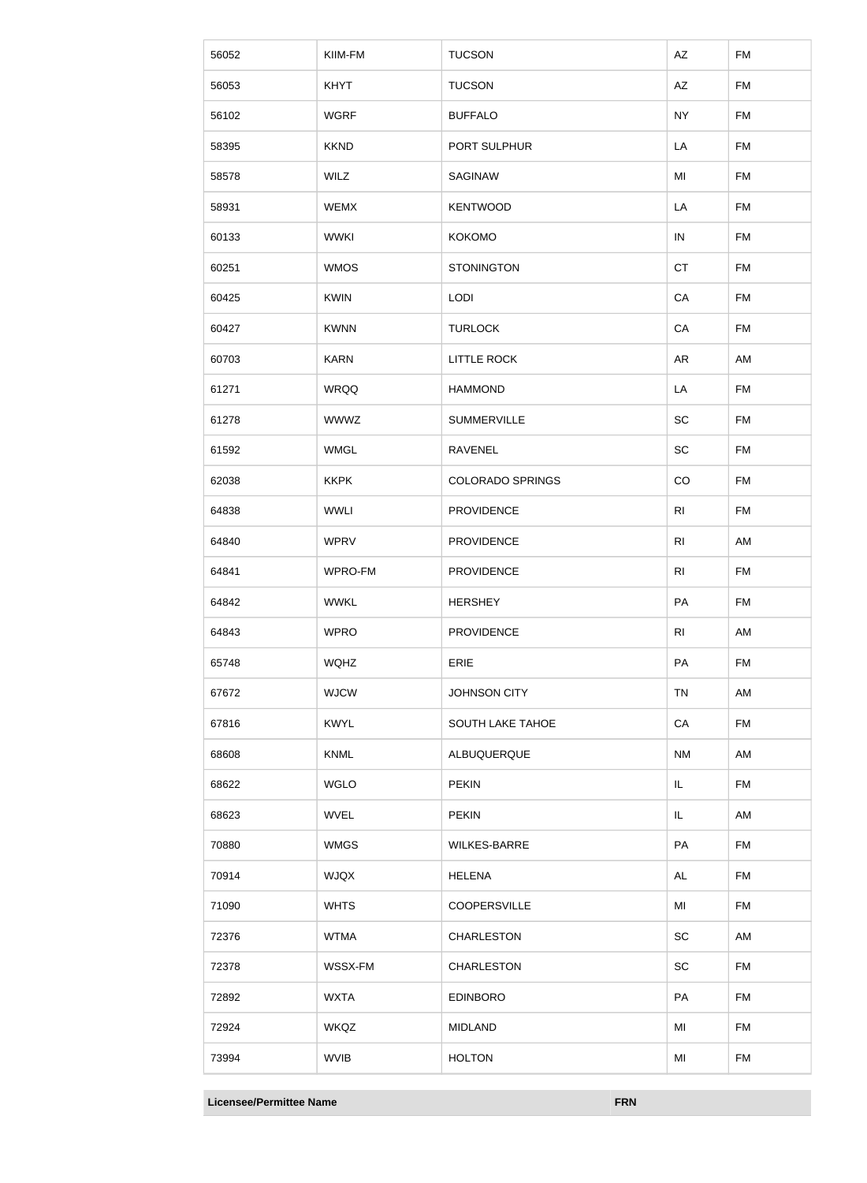| 56052 | KIIM-FM     | <b>TUCSON</b>           | AZ                                                                                                                                                              | <b>FM</b> |
|-------|-------------|-------------------------|-----------------------------------------------------------------------------------------------------------------------------------------------------------------|-----------|
| 56053 | <b>KHYT</b> | <b>TUCSON</b>           | AZ                                                                                                                                                              | <b>FM</b> |
| 56102 | <b>WGRF</b> | <b>BUFFALO</b>          | <b>NY</b>                                                                                                                                                       | FM        |
| 58395 | <b>KKND</b> | PORT SULPHUR            | LA                                                                                                                                                              | <b>FM</b> |
| 58578 | <b>WILZ</b> | SAGINAW                 | MI                                                                                                                                                              | <b>FM</b> |
| 58931 | <b>WEMX</b> | <b>KENTWOOD</b>         | LA                                                                                                                                                              | <b>FM</b> |
| 60133 | <b>WWKI</b> | <b>KOKOMO</b>           | IN                                                                                                                                                              | FM        |
| 60251 | <b>WMOS</b> | <b>STONINGTON</b>       | <b>CT</b>                                                                                                                                                       | <b>FM</b> |
| 60425 | <b>KWIN</b> | <b>LODI</b>             | CA                                                                                                                                                              | <b>FM</b> |
| 60427 | <b>KWNN</b> | <b>TURLOCK</b>          | CA                                                                                                                                                              | <b>FM</b> |
| 60703 | <b>KARN</b> | <b>LITTLE ROCK</b>      | <b>AR</b>                                                                                                                                                       | AM        |
| 61271 | <b>WRQQ</b> | <b>HAMMOND</b>          | LA                                                                                                                                                              | FM        |
| 61278 | <b>WWWZ</b> | <b>SUMMERVILLE</b>      | SC                                                                                                                                                              | <b>FM</b> |
| 61592 | <b>WMGL</b> | <b>RAVENEL</b>          | SC                                                                                                                                                              | <b>FM</b> |
| 62038 | <b>KKPK</b> | <b>COLORADO SPRINGS</b> | CO                                                                                                                                                              | FM        |
| 64838 | <b>WWLI</b> | <b>PROVIDENCE</b>       | R <sub>l</sub>                                                                                                                                                  | FM        |
| 64840 | <b>WPRV</b> | <b>PROVIDENCE</b>       | R <sub>1</sub>                                                                                                                                                  | AM        |
| 64841 | WPRO-FM     | <b>PROVIDENCE</b>       | R <sub>1</sub>                                                                                                                                                  | <b>FM</b> |
| 64842 | <b>WWKL</b> | <b>HERSHEY</b>          | PA                                                                                                                                                              | <b>FM</b> |
| 64843 | <b>WPRO</b> | <b>PROVIDENCE</b>       | R <sub>l</sub>                                                                                                                                                  | AM        |
| 65748 | <b>WQHZ</b> | ERIE                    | PA                                                                                                                                                              | <b>FM</b> |
| 67672 | <b>WJCW</b> | <b>JOHNSON CITY</b>     | <b>TN</b>                                                                                                                                                       | AM        |
| 67816 | <b>KWYL</b> | SOUTH LAKE TAHOE        | CA                                                                                                                                                              | FM        |
| 68608 | <b>KNML</b> | ALBUQUERQUE             | <b>NM</b>                                                                                                                                                       | AM        |
| 68622 | <b>WGLO</b> | <b>PEKIN</b>            | IL                                                                                                                                                              | <b>FM</b> |
| 68623 | <b>WVEL</b> | <b>PEKIN</b>            | IL                                                                                                                                                              | AM        |
| 70880 | <b>WMGS</b> | <b>WILKES-BARRE</b>     | PA                                                                                                                                                              | FM        |
| 70914 | <b>WJQX</b> | <b>HELENA</b>           | <b>AL</b>                                                                                                                                                       | <b>FM</b> |
| 71090 | <b>WHTS</b> | <b>COOPERSVILLE</b>     | MI                                                                                                                                                              | <b>FM</b> |
| 72376 | <b>WTMA</b> | <b>CHARLESTON</b>       | SC                                                                                                                                                              | AM        |
| 72378 | WSSX-FM     | <b>CHARLESTON</b>       | SC                                                                                                                                                              | <b>FM</b> |
| 72892 | <b>WXTA</b> | <b>EDINBORO</b>         | PA                                                                                                                                                              | <b>FM</b> |
| 72924 | WKQZ        | MIDLAND                 | MI                                                                                                                                                              | <b>FM</b> |
| 73994 | <b>WVIB</b> | <b>HOLTON</b>           | $\mathsf{MI}% _{T}=\mathsf{M}_{T}\!\left( a,b\right) ,\ \mathsf{M}_{T}=\mathsf{M}_{T}\!\left( a,b\right) ,\ \mathsf{M}_{T}=\mathsf{M}_{T}\!\left( a,b\right) ,$ | <b>FM</b> |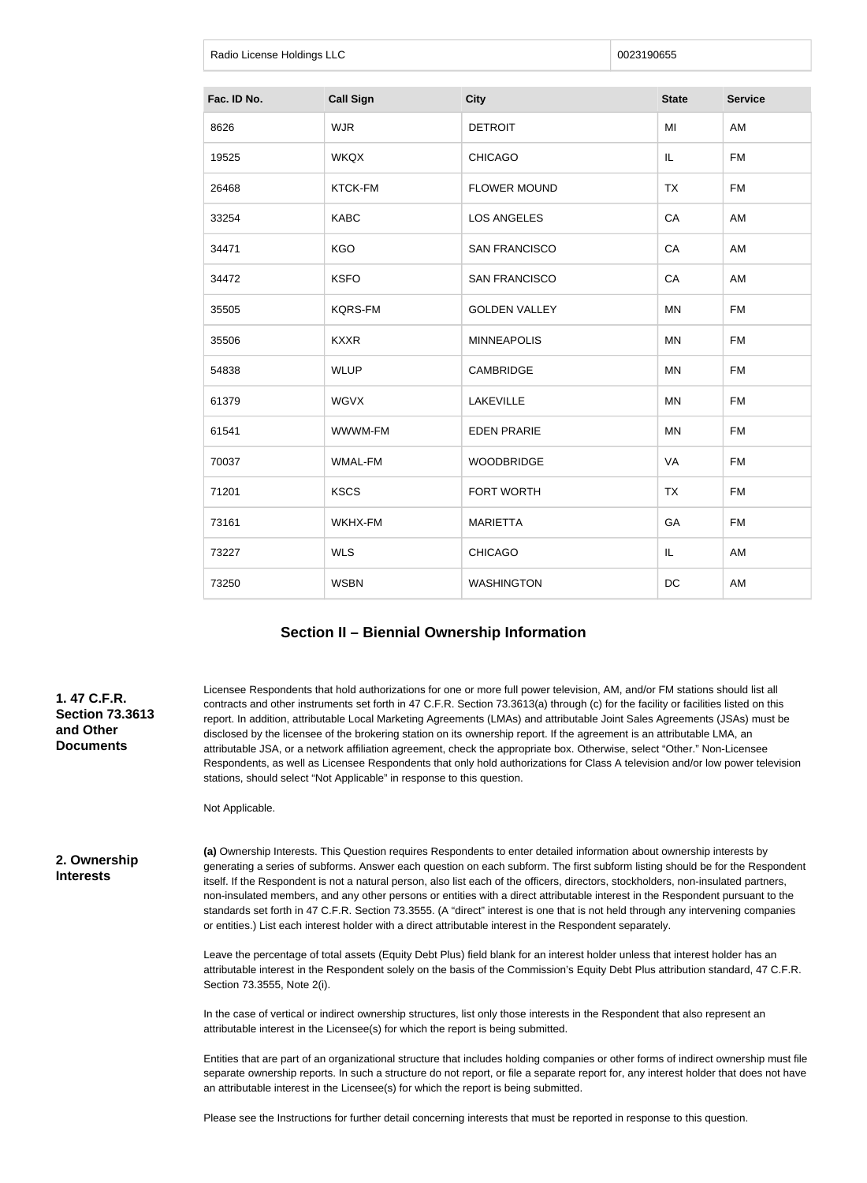| Radio License Holdings LLC<br>0023190655 |                  |                      |              |                |
|------------------------------------------|------------------|----------------------|--------------|----------------|
|                                          |                  |                      |              |                |
| Fac. ID No.                              | <b>Call Sign</b> | <b>City</b>          | <b>State</b> | <b>Service</b> |
| 8626                                     | <b>WJR</b>       | <b>DETROIT</b>       | MI           | AM             |
| 19525                                    | <b>WKQX</b>      | <b>CHICAGO</b>       | IL           | <b>FM</b>      |
| 26468                                    | <b>KTCK-FM</b>   | FLOWER MOUND         | <b>TX</b>    | <b>FM</b>      |
| 33254                                    | <b>KABC</b>      | <b>LOS ANGELES</b>   | ${\sf CA}$   | AM             |
| 34471                                    | KGO              | <b>SAN FRANCISCO</b> | ${\sf CA}$   | AM             |
| 34472                                    | <b>KSFO</b>      | <b>SAN FRANCISCO</b> | CA           | AM             |
| 35505                                    | <b>KQRS-FM</b>   | <b>GOLDEN VALLEY</b> | <b>MN</b>    | <b>FM</b>      |
| 35506                                    | <b>KXXR</b>      | <b>MINNEAPOLIS</b>   | <b>MN</b>    | <b>FM</b>      |
| 54838                                    | <b>WLUP</b>      | <b>CAMBRIDGE</b>     | <b>MN</b>    | <b>FM</b>      |
| 61379                                    | <b>WGVX</b>      | <b>LAKEVILLE</b>     | <b>MN</b>    | <b>FM</b>      |
| 61541                                    | WWWM-FM          | <b>EDEN PRARIE</b>   | <b>MN</b>    | <b>FM</b>      |
| 70037                                    | WMAL-FM          | <b>WOODBRIDGE</b>    | VA           | <b>FM</b>      |
| 71201                                    | <b>KSCS</b>      | FORT WORTH           | <b>TX</b>    | <b>FM</b>      |
| 73161                                    | WKHX-FM          | <b>MARIETTA</b>      | GA           | <b>FM</b>      |
| 73227                                    | <b>WLS</b>       | <b>CHICAGO</b>       | IL           | AM             |
| 73250                                    | <b>WSBN</b>      | <b>WASHINGTON</b>    | DC           | AM             |

## **Section II – Biennial Ownership Information**

#### **1. 47 C.F.R. Section 73.3613 and Other Documents**

Licensee Respondents that hold authorizations for one or more full power television, AM, and/or FM stations should list all contracts and other instruments set forth in 47 C.F.R. Section 73.3613(a) through (c) for the facility or facilities listed on this report. In addition, attributable Local Marketing Agreements (LMAs) and attributable Joint Sales Agreements (JSAs) must be disclosed by the licensee of the brokering station on its ownership report. If the agreement is an attributable LMA, an attributable JSA, or a network affiliation agreement, check the appropriate box. Otherwise, select "Other." Non-Licensee Respondents, as well as Licensee Respondents that only hold authorizations for Class A television and/or low power television stations, should select "Not Applicable" in response to this question.

Not Applicable.

## **2. Ownership Interests**

**(a)** Ownership Interests. This Question requires Respondents to enter detailed information about ownership interests by generating a series of subforms. Answer each question on each subform. The first subform listing should be for the Respondent itself. If the Respondent is not a natural person, also list each of the officers, directors, stockholders, non-insulated partners, non-insulated members, and any other persons or entities with a direct attributable interest in the Respondent pursuant to the standards set forth in 47 C.F.R. Section 73.3555. (A "direct" interest is one that is not held through any intervening companies or entities.) List each interest holder with a direct attributable interest in the Respondent separately.

Leave the percentage of total assets (Equity Debt Plus) field blank for an interest holder unless that interest holder has an attributable interest in the Respondent solely on the basis of the Commission's Equity Debt Plus attribution standard, 47 C.F.R. Section 73.3555, Note 2(i).

In the case of vertical or indirect ownership structures, list only those interests in the Respondent that also represent an attributable interest in the Licensee(s) for which the report is being submitted.

Entities that are part of an organizational structure that includes holding companies or other forms of indirect ownership must file separate ownership reports. In such a structure do not report, or file a separate report for, any interest holder that does not have an attributable interest in the Licensee(s) for which the report is being submitted.

Please see the Instructions for further detail concerning interests that must be reported in response to this question.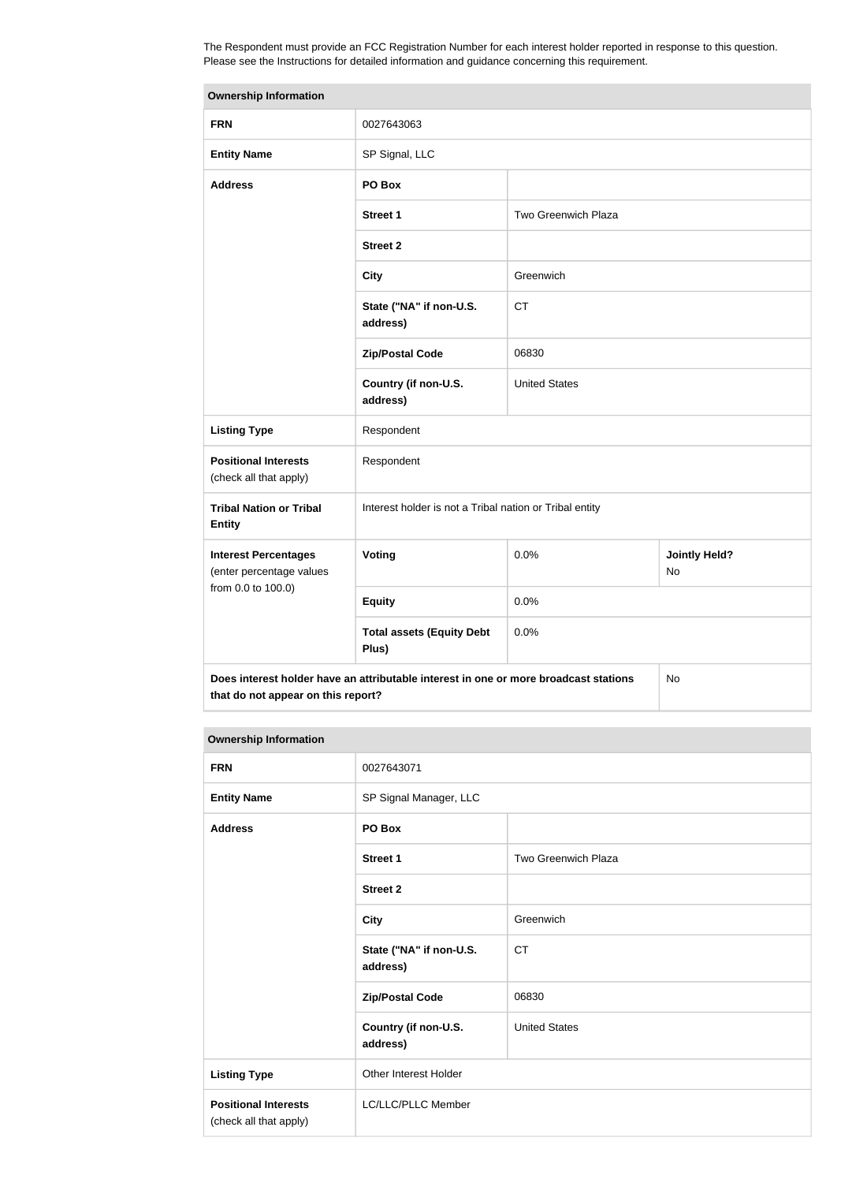The Respondent must provide an FCC Registration Number for each interest holder reported in response to this question. Please see the Instructions for detailed information and guidance concerning this requirement.

| <b>Ownership Information</b>                                                                                                     |                                                         |                      |                            |  |
|----------------------------------------------------------------------------------------------------------------------------------|---------------------------------------------------------|----------------------|----------------------------|--|
| <b>FRN</b>                                                                                                                       | 0027643063                                              |                      |                            |  |
| <b>Entity Name</b>                                                                                                               | SP Signal, LLC                                          |                      |                            |  |
| <b>Address</b>                                                                                                                   | PO Box                                                  |                      |                            |  |
|                                                                                                                                  | <b>Street 1</b>                                         | Two Greenwich Plaza  |                            |  |
|                                                                                                                                  | <b>Street 2</b>                                         |                      |                            |  |
|                                                                                                                                  | <b>City</b>                                             | Greenwich            |                            |  |
|                                                                                                                                  | State ("NA" if non-U.S.<br>address)                     | <b>CT</b><br>06830   |                            |  |
|                                                                                                                                  | <b>Zip/Postal Code</b>                                  |                      |                            |  |
|                                                                                                                                  | Country (if non-U.S.<br>address)                        | <b>United States</b> |                            |  |
| <b>Listing Type</b>                                                                                                              | Respondent                                              |                      |                            |  |
| <b>Positional Interests</b><br>(check all that apply)                                                                            | Respondent                                              |                      |                            |  |
| <b>Tribal Nation or Tribal</b><br><b>Entity</b>                                                                                  | Interest holder is not a Tribal nation or Tribal entity |                      |                            |  |
| <b>Interest Percentages</b><br>(enter percentage values                                                                          | Voting                                                  | 0.0%                 | <b>Jointly Held?</b><br>No |  |
| from 0.0 to 100.0)                                                                                                               | <b>Equity</b>                                           | 0.0%                 |                            |  |
|                                                                                                                                  | <b>Total assets (Equity Debt</b><br>Plus)               | 0.0%                 |                            |  |
| Does interest holder have an attributable interest in one or more broadcast stations<br>No<br>that do not appear on this report? |                                                         |                      |                            |  |

#### **Ownership Information**

| <b>FRN</b>                                            | 0027643071                          |                      |
|-------------------------------------------------------|-------------------------------------|----------------------|
| <b>Entity Name</b>                                    | SP Signal Manager, LLC              |                      |
| <b>Address</b>                                        | PO Box                              |                      |
|                                                       | Street 1                            | Two Greenwich Plaza  |
|                                                       | <b>Street 2</b>                     |                      |
|                                                       | <b>City</b>                         | Greenwich            |
|                                                       | State ("NA" if non-U.S.<br>address) | <b>CT</b>            |
|                                                       | <b>Zip/Postal Code</b>              | 06830                |
|                                                       | Country (if non-U.S.<br>address)    | <b>United States</b> |
| <b>Listing Type</b>                                   | Other Interest Holder               |                      |
| <b>Positional Interests</b><br>(check all that apply) | LC/LLC/PLLC Member                  |                      |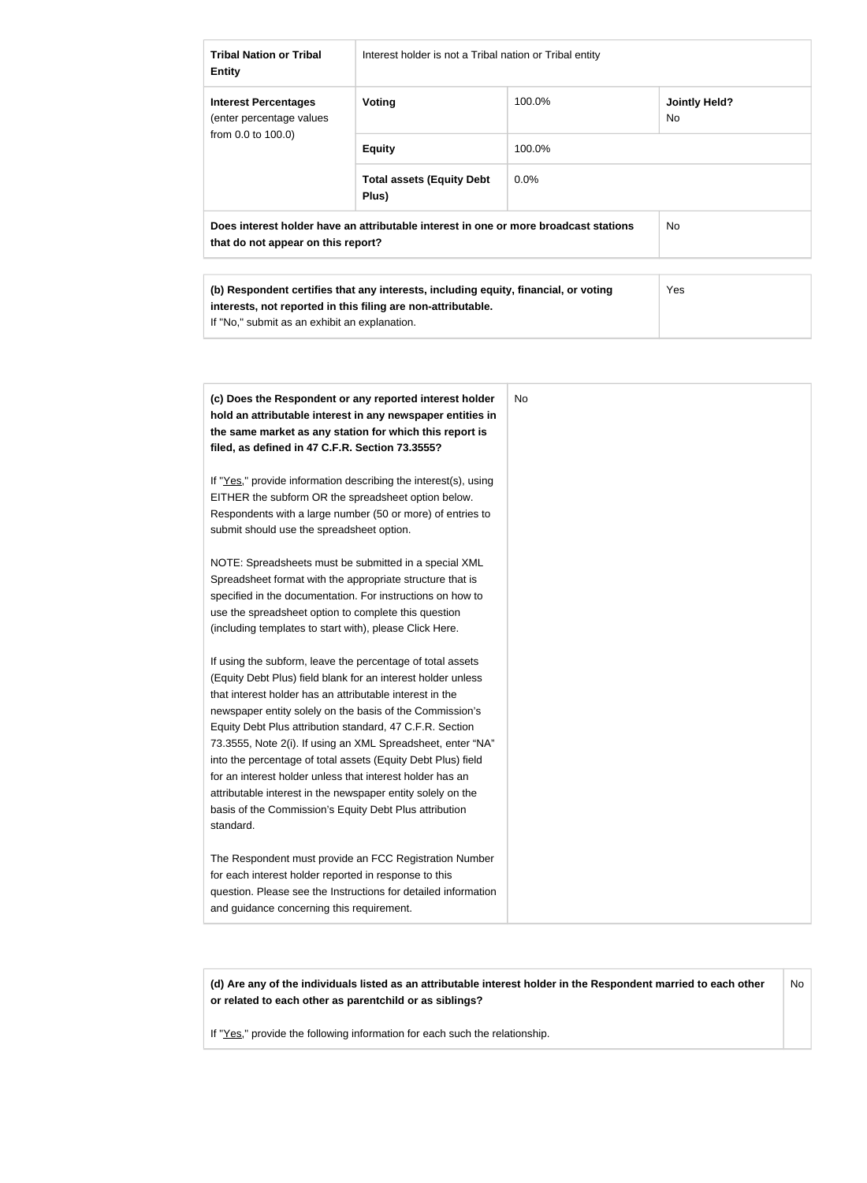| <b>Tribal Nation or Tribal</b><br><b>Entity</b>                                                                                                                                                                                                                                                                                     | Interest holder is not a Tribal nation or Tribal entity                                                                                                                                                                                                                                                                                                                                                                                                                                                |           |                            |
|-------------------------------------------------------------------------------------------------------------------------------------------------------------------------------------------------------------------------------------------------------------------------------------------------------------------------------------|--------------------------------------------------------------------------------------------------------------------------------------------------------------------------------------------------------------------------------------------------------------------------------------------------------------------------------------------------------------------------------------------------------------------------------------------------------------------------------------------------------|-----------|----------------------------|
| <b>Interest Percentages</b><br>(enter percentage values                                                                                                                                                                                                                                                                             | Voting                                                                                                                                                                                                                                                                                                                                                                                                                                                                                                 | 100.0%    | <b>Jointly Held?</b><br>No |
| from 0.0 to 100.0)                                                                                                                                                                                                                                                                                                                  | <b>Equity</b>                                                                                                                                                                                                                                                                                                                                                                                                                                                                                          | 100.0%    |                            |
|                                                                                                                                                                                                                                                                                                                                     | <b>Total assets (Equity Debt</b><br>Plus)                                                                                                                                                                                                                                                                                                                                                                                                                                                              | 0.0%      |                            |
| that do not appear on this report?                                                                                                                                                                                                                                                                                                  | Does interest holder have an attributable interest in one or more broadcast stations                                                                                                                                                                                                                                                                                                                                                                                                                   |           | No                         |
| If "No," submit as an exhibit an explanation.                                                                                                                                                                                                                                                                                       | (b) Respondent certifies that any interests, including equity, financial, or voting<br>interests, not reported in this filing are non-attributable.                                                                                                                                                                                                                                                                                                                                                    |           | Yes                        |
| filed, as defined in 47 C.F.R. Section 73.3555?<br>EITHER the subform OR the spreadsheet option below.<br>submit should use the spreadsheet option.<br>Spreadsheet format with the appropriate structure that is<br>use the spreadsheet option to complete this question<br>(including templates to start with), please Click Here. | (c) Does the Respondent or any reported interest holder<br>hold an attributable interest in any newspaper entities in<br>the same market as any station for which this report is<br>If "Yes," provide information describing the interest(s), using<br>Respondents with a large number (50 or more) of entries to<br>NOTE: Spreadsheets must be submitted in a special XML<br>specified in the documentation. For instructions on how to<br>If using the subform, leave the percentage of total assets | <b>No</b> |                            |
| that interest holder has an attributable interest in the<br>Equity Debt Plus attribution standard, 47 C.F.R. Section<br>for an interest holder unless that interest holder has an<br>attributable interest in the newspaper entity solely on the<br>basis of the Commission's Equity Debt Plus attribution<br>standard.             | (Equity Debt Plus) field blank for an interest holder unless<br>newspaper entity solely on the basis of the Commission's<br>73.3555, Note 2(i). If using an XML Spreadsheet, enter "NA"<br>into the percentage of total assets (Equity Debt Plus) field                                                                                                                                                                                                                                                |           |                            |
| for each interest holder reported in response to this<br>and guidance concerning this requirement.                                                                                                                                                                                                                                  | The Respondent must provide an FCC Registration Number<br>question. Please see the Instructions for detailed information                                                                                                                                                                                                                                                                                                                                                                               |           |                            |

**(d) Are any of the individuals listed as an attributable interest holder in the Respondent married to each other or related to each other as parentchild or as siblings?** No

If "Yes," provide the following information for each such the relationship.